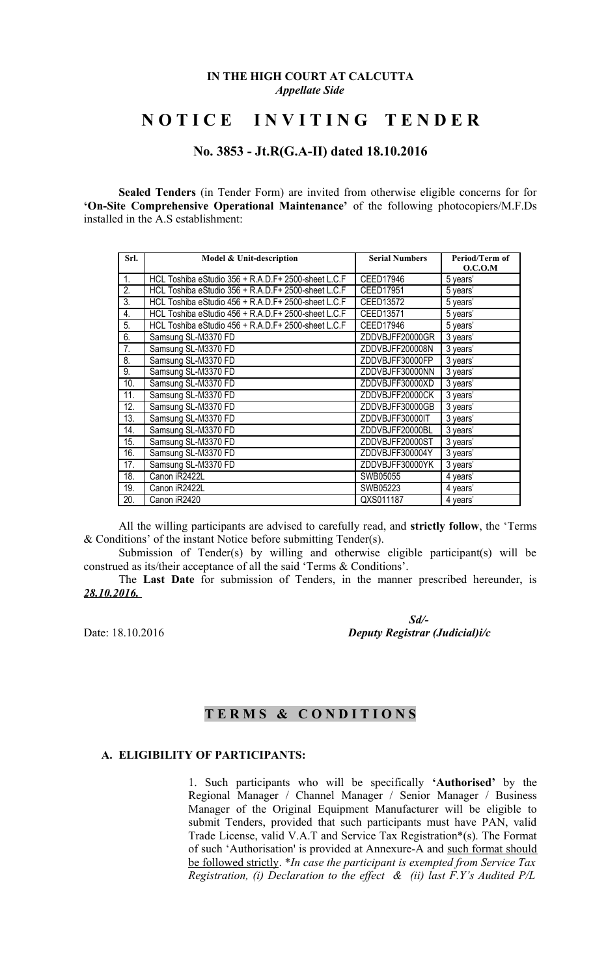#### **IN THE HIGH COURT AT CALCUTTA** *Appellate Side*

# **N O T I C E I N V I T I N G T E N D E R**

## **No. 3853 - Jt.R(G.A-II) dated 18.10.2016**

**Sealed Tenders** (in Tender Form) are invited from otherwise eligible concerns for for **'On-Site Comprehensive Operational Maintenance'** of the following photocopiers/M.F.Ds installed in the A.S establishment:

| Srl.             | Model & Unit-description                             | <b>Serial Numbers</b> | Period/Term of<br>O.C.O.M |
|------------------|------------------------------------------------------|-----------------------|---------------------------|
| $\mathbf{1}$ .   | HCL Toshiba eStudio 356 + R.A.D.F + 2500-sheet L.C.F | CEED17946             | 5 years'                  |
| 2.               | HCL Toshiba eStudio 356 + R.A.D.F + 2500-sheet L.C.F | CEED17951             | 5 years'                  |
| $\overline{3}$ . | HCL Toshiba eStudio 456 + R.A.D.F+ 2500-sheet L.C.F  | CEED13572             | 5 years'                  |
| 4.               | HCL Toshiba eStudio 456 + R.A.D.F+ 2500-sheet L.C.F  | CEED13571             | 5 years'                  |
| 5.               | HCL Toshiba eStudio 456 + R.A.D.F + 2500-sheet L.C.F | CEED17946             | 5 years'                  |
| 6.               | Samsung SL-M3370 FD                                  | ZDDVBJFF20000GR       | 3 years'                  |
| 7.               | Samsung SL-M3370 FD                                  | ZDDVBJFF200008N       | 3 years'                  |
| 8.               | Samsung SL-M3370 FD                                  | ZDDVBJFF30000FP       | 3 years'                  |
| 9.               | Samsung SL-M3370 FD                                  | ZDDVBJFF30000NN       | 3 years'                  |
| 10.              | Samsung SL-M3370 FD                                  | ZDDVBJFF30000XD       | 3 years'                  |
| 11.              | Samsung SL-M3370 FD                                  | ZDDVBJFF20000CK       | 3 years'                  |
| 12.              | Samsung SL-M3370 FD                                  | ZDDVBJFF30000GB       | 3 years'                  |
| 13.              | Samsung SL-M3370 FD                                  | ZDDVBJFF30000IT       | 3 years'                  |
| 14.              | Samsung SL-M3370 FD                                  | ZDDVBJFF20000BL       | 3 years'                  |
| 15.              | Samsung SL-M3370 FD                                  | ZDDVBJFF20000ST       | 3 years'                  |
| 16.              | Samsung SL-M3370 FD                                  | ZDDVBJFF300004Y       | 3 years'                  |
| 17.              | Samsung SL-M3370 FD                                  | ZDDVBJFF30000YK       | 3 years'                  |
| 18.              | Canon iR2422L                                        | SWB05055              | 4 years'                  |
| 19.              | Canon iR2422L                                        | SWB05223              | 4 years'                  |
| 20.              | Canon iR2420                                         | QXS011187             | 4 years'                  |

All the willing participants are advised to carefully read, and **strictly follow**, the 'Terms & Conditions' of the instant Notice before submitting Tender(s).

Submission of Tender(s) by willing and otherwise eligible participant(s) will be construed as its/their acceptance of all the said 'Terms & Conditions'.

The **Last Date** for submission of Tenders, in the manner prescribed hereunder, is *28.10.2016.* 

 *Sd/-* Date: 18.10.2016 *Deputy Registrar (Judicial)i/c*

# **T E R M S & C O N D I T I O N S**

### **A. ELIGIBILITY OF PARTICIPANTS:**

1. Such participants who will be specifically **'Authorised'** by the Regional Manager / Channel Manager / Senior Manager / Business Manager of the Original Equipment Manufacturer will be eligible to submit Tenders, provided that such participants must have PAN, valid Trade License, valid V.A.T and Service Tax Registration\*(s). The Format of such 'Authorisation' is provided at Annexure-A and such format should be followed strictly. \**In case the participant is exempted from Service Tax Registration, (i) Declaration to the effect & (ii) last F.Y's Audited P/L*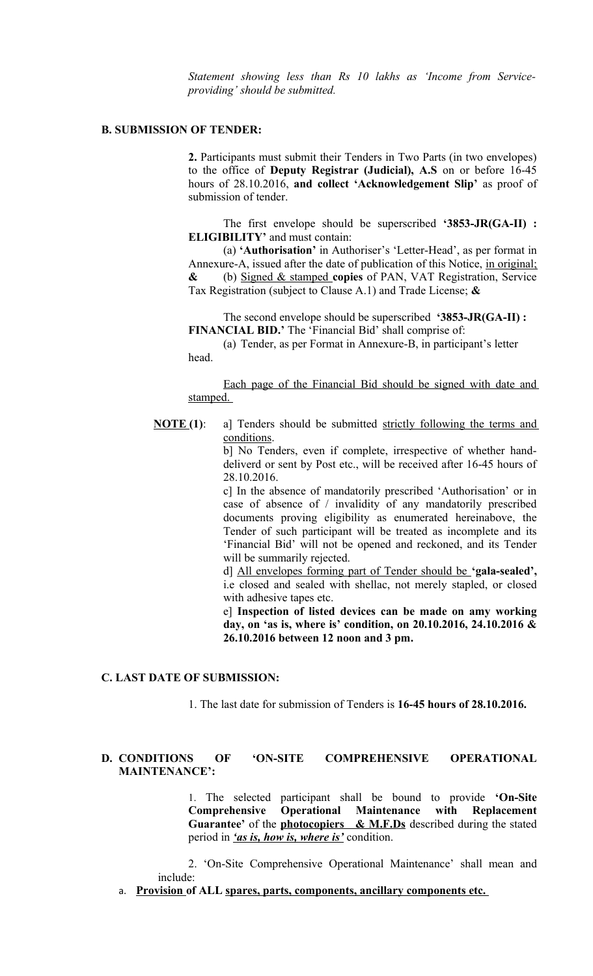*Statement showing less than Rs 10 lakhs as 'Income from Serviceproviding' should be submitted.* 

#### **B. SUBMISSION OF TENDER:**

**2.** Participants must submit their Tenders in Two Parts (in two envelopes) to the office of **Deputy Registrar (Judicial), A.S** on or before 16-45 hours of 28.10.2016, **and collect 'Acknowledgement Slip'** as proof of submission of tender.

The first envelope should be superscribed **'3853-JR(GA-II) : ELIGIBILITY'** and must contain:

(a) **'Authorisation'** in Authoriser's 'Letter-Head', as per format in Annexure-A, issued after the date of publication of this Notice, in original; **&** (b) Signed & stamped **copies** of PAN, VAT Registration, Service Tax Registration (subject to Clause A.1) and Trade License; **&**

The second envelope should be superscribed **'3853-JR(GA-II) : FINANCIAL BID.'** The 'Financial Bid' shall comprise of:

(a) Tender, as per Format in Annexure-B, in participant's letter head.

Each page of the Financial Bid should be signed with date and stamped.

**NOTE** (1): a] Tenders should be submitted strictly following the terms and conditions.

b] No Tenders, even if complete, irrespective of whether handdeliverd or sent by Post etc., will be received after 16-45 hours of 28.10.2016.

c] In the absence of mandatorily prescribed 'Authorisation' or in case of absence of / invalidity of any mandatorily prescribed documents proving eligibility as enumerated hereinabove, the Tender of such participant will be treated as incomplete and its 'Financial Bid' will not be opened and reckoned, and its Tender will be summarily rejected.

d] All envelopes forming part of Tender should be **'gala-sealed',** i.e closed and sealed with shellac, not merely stapled, or closed with adhesive tapes etc.

e] **Inspection of listed devices can be made on amy working day, on 'as is, where is' condition, on 20.10.2016, 24.10.2016 & 26.10.2016 between 12 noon and 3 pm.** 

#### **C. LAST DATE OF SUBMISSION:**

1. The last date for submission of Tenders is **16-45 hours of 28.10.2016.** 

#### **D. CONDITIONS OF 'ON-SITE COMPREHENSIVE OPERATIONAL MAINTENANCE':**

1. The selected participant shall be bound to provide **'On-Site Comprehensive Operational Maintenance with Replacement Guarantee'** of the **photocopiers & M.F.Ds** described during the stated period in *'as is, how is, where is'* condition.

2. 'On-Site Comprehensive Operational Maintenance' shall mean and include:

a. **Provision of ALL spares, parts, components, ancillary components etc.**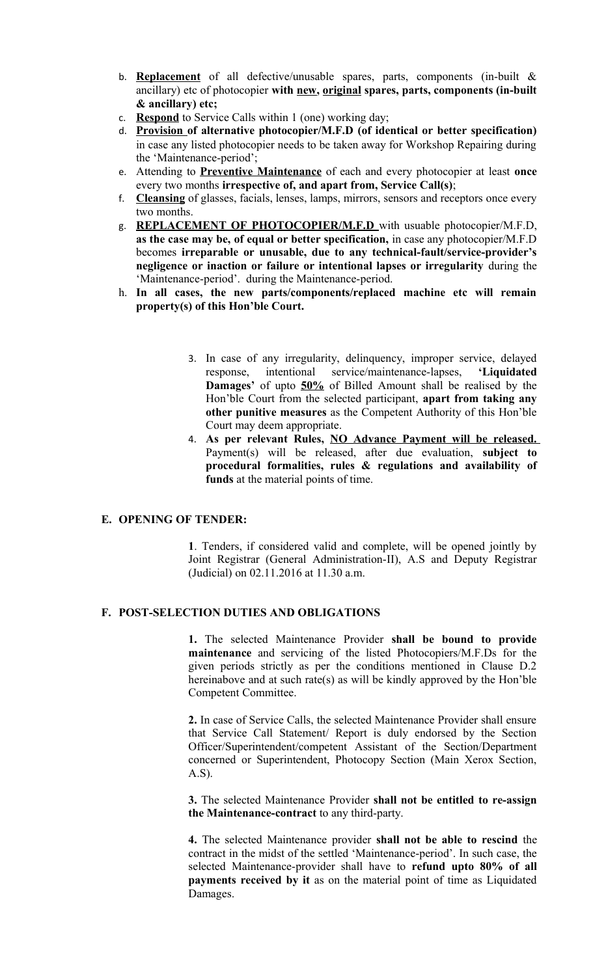- b. **Replacement** of all defective/unusable spares, parts, components (in-built & ancillary) etc of photocopier **with new, original spares, parts, components (in-built & ancillary) etc;**
- c. **Respond** to Service Calls within 1 (one) working day;
- d. **Provision of alternative photocopier/M.F.D (of identical or better specification)** in case any listed photocopier needs to be taken away for Workshop Repairing during the 'Maintenance-period';
- e. Attending to **Preventive Maintenance** of each and every photocopier at least **once** every two months **irrespective of, and apart from, Service Call(s)**;
- f. **Cleansing** of glasses, facials, lenses, lamps, mirrors, sensors and receptors once every two months.
- g. **REPLACEMENT OF PHOTOCOPIER/M.F.D** with usuable photocopier/M.F.D, **as the case may be, of equal or better specification,** in case any photocopier/M.F.D becomes **irreparable or unusable, due to any technical-fault/service-provider's negligence or inaction or failure or intentional lapses or irregularity** during the 'Maintenance-period'. during the Maintenance-period.
- h. **In all cases, the new parts/components/replaced machine etc will remain property(s) of this Hon'ble Court.** 
	- 3. In case of any irregularity, delinquency, improper service, delayed response, intentional service/maintenance-lapses, **'Liquidated Damages'** of upto **50%** of Billed Amount shall be realised by the Hon'ble Court from the selected participant, **apart from taking any other punitive measures** as the Competent Authority of this Hon'ble Court may deem appropriate.
	- 4. **As per relevant Rules, NO Advance Payment will be released.** Payment(s) will be released, after due evaluation, **subject to procedural formalities, rules & regulations and availability of funds** at the material points of time.

#### **E. OPENING OF TENDER:**

**1**. Tenders, if considered valid and complete, will be opened jointly by Joint Registrar (General Administration-II), A.S and Deputy Registrar (Judicial) on 02.11.2016 at 11.30 a.m.

### **F. POST-SELECTION DUTIES AND OBLIGATIONS**

**1.** The selected Maintenance Provider **shall be bound to provide maintenance** and servicing of the listed Photocopiers/M.F.Ds for the given periods strictly as per the conditions mentioned in Clause D.2 hereinabove and at such rate(s) as will be kindly approved by the Hon'ble Competent Committee.

**2.** In case of Service Calls, the selected Maintenance Provider shall ensure that Service Call Statement/ Report is duly endorsed by the Section Officer/Superintendent/competent Assistant of the Section/Department concerned or Superintendent, Photocopy Section (Main Xerox Section, A.S).

**3.** The selected Maintenance Provider **shall not be entitled to re-assign the Maintenance-contract** to any third-party.

**4.** The selected Maintenance provider **shall not be able to rescind** the contract in the midst of the settled 'Maintenance-period'. In such case, the selected Maintenance-provider shall have to **refund upto 80% of all payments received by it** as on the material point of time as Liquidated Damages.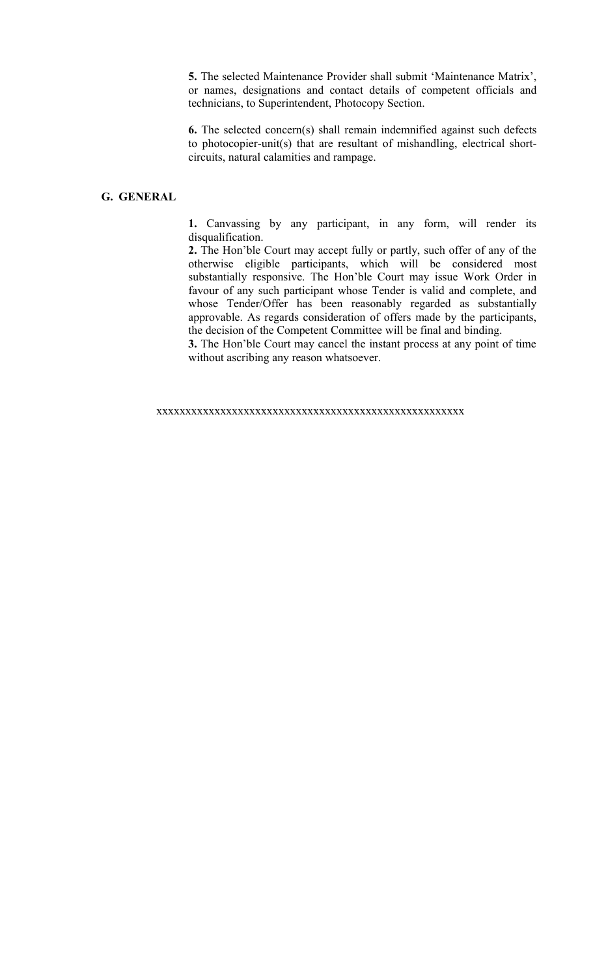**5.** The selected Maintenance Provider shall submit 'Maintenance Matrix', or names, designations and contact details of competent officials and technicians, to Superintendent, Photocopy Section.

**6.** The selected concern(s) shall remain indemnified against such defects to photocopier-unit(s) that are resultant of mishandling, electrical shortcircuits, natural calamities and rampage.

### **G. GENERAL**

**1.** Canvassing by any participant, in any form, will render its disqualification.

**2.** The Hon'ble Court may accept fully or partly, such offer of any of the otherwise eligible participants, which will be considered most substantially responsive. The Hon'ble Court may issue Work Order in favour of any such participant whose Tender is valid and complete, and whose Tender/Offer has been reasonably regarded as substantially approvable. As regards consideration of offers made by the participants, the decision of the Competent Committee will be final and binding.

**3.** The Hon'ble Court may cancel the instant process at any point of time without ascribing any reason whatsoever.

xxxxxxxxxxxxxxxxxxxxxxxxxxxxxxxxxxxxxxxxxxxxxxxxxxxxx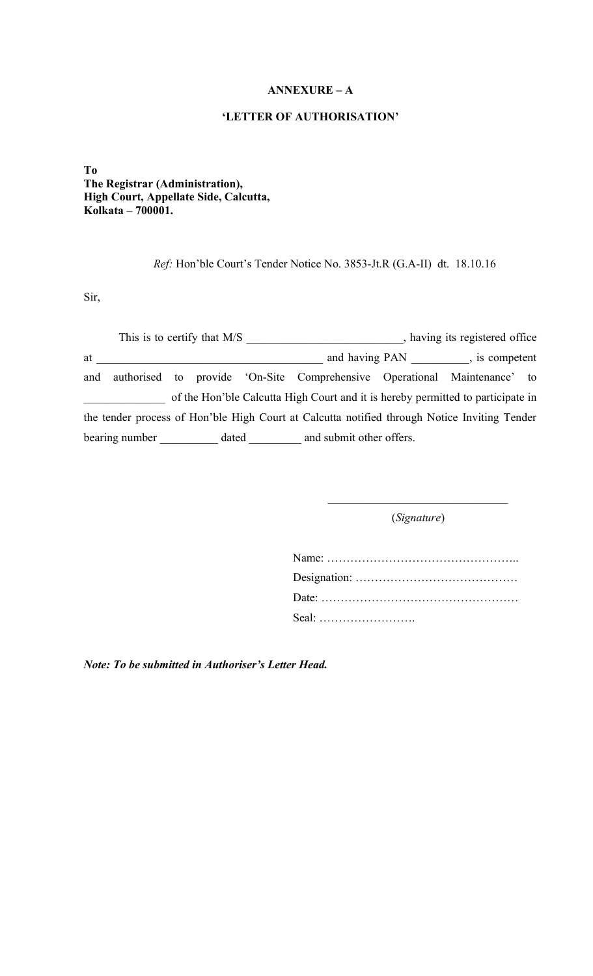# **ANNEXURE – A**

## **'LETTER OF AUTHORISATION'**

**To The Registrar (Administration), High Court, Appellate Side, Calcutta, Kolkata – 700001.**

*Ref:* Hon'ble Court's Tender Notice No. 3853-Jt.R (G.A-II) dt. 18.10.16

Sir,

| This is to certify that M/S |                |  | having its registered office |                              |                                                                                              |  |  |  |
|-----------------------------|----------------|--|------------------------------|------------------------------|----------------------------------------------------------------------------------------------|--|--|--|
| at                          |                |  |                              | and having PAN, is competent |                                                                                              |  |  |  |
| and                         |                |  |                              |                              | authorised to provide 'On-Site Comprehensive Operational Maintenance' to                     |  |  |  |
|                             |                |  |                              |                              | of the Hon'ble Calcutta High Court and it is hereby permitted to participate in              |  |  |  |
|                             |                |  |                              |                              | the tender process of Hon'ble High Court at Calcutta notified through Notice Inviting Tender |  |  |  |
|                             | bearing number |  | dated                        |                              | and submit other offers.                                                                     |  |  |  |

(*Signature*)

 $\overline{\phantom{a}}$  , and the set of the set of the set of the set of the set of the set of the set of the set of the set of the set of the set of the set of the set of the set of the set of the set of the set of the set of the s

| Seal: |
|-------|

*Note: To be submitted in Authoriser's Letter Head.*